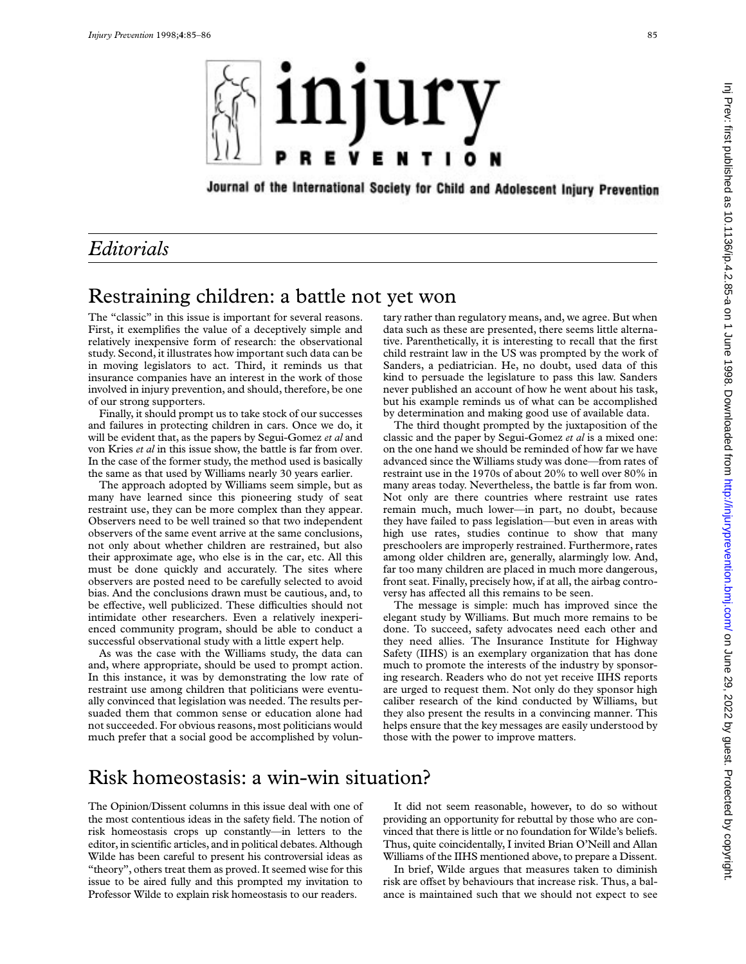

Journal of the International Society for Child and Adolescent Injury Prevention

## *Editorials*

# Restraining children: a battle not yet won

The "classic" in this issue is important for several reasons. First, it exemplifies the value of a deceptively simple and relatively inexpensive form of research: the observational study. Second, it illustrates how important such data can be in moving legislators to act. Third, it reminds us that insurance companies have an interest in the work of those involved in injury prevention, and should, therefore, be one of our strong supporters.

Finally, it should prompt us to take stock of our successes and failures in protecting children in cars. Once we do, it will be evident that, as the papers by Segui-Gomez *et al* and von Kries *et al* in this issue show, the battle is far from over. In the case of the former study, the method used is basically the same as that used by Williams nearly 30 years earlier.

The approach adopted by Williams seem simple, but as many have learned since this pioneering study of seat restraint use, they can be more complex than they appear. Observers need to be well trained so that two independent observers of the same event arrive at the same conclusions, not only about whether children are restrained, but also their approximate age, who else is in the car, etc. All this must be done quickly and accurately. The sites where observers are posted need to be carefully selected to avoid bias. And the conclusions drawn must be cautious, and, to be effective, well publicized. These difficulties should not intimidate other researchers. Even a relatively inexperienced community program, should be able to conduct a successful observational study with a little expert help.

As was the case with the Williams study, the data can and, where appropriate, should be used to prompt action. In this instance, it was by demonstrating the low rate of restraint use among children that politicians were eventually convinced that legislation was needed. The results persuaded them that common sense or education alone had not succeeded. For obvious reasons, most politicians would much prefer that a social good be accomplished by voluntary rather than regulatory means, and, we agree. But when data such as these are presented, there seems little alternative. Parenthetically, it is interesting to recall that the first child restraint law in the US was prompted by the work of Sanders, a pediatrician. He, no doubt, used data of this kind to persuade the legislature to pass this law. Sanders never published an account of how he went about his task, but his example reminds us of what can be accomplished by determination and making good use of available data.

The third thought prompted by the juxtaposition of the classic and the paper by Segui-Gomez *et al* is a mixed one: on the one hand we should be reminded of how far we have advanced since the Williams study was done—from rates of restraint use in the 1970s of about 20% to well over 80% in many areas today. Nevertheless, the battle is far from won. Not only are there countries where restraint use rates remain much, much lower—in part, no doubt, because they have failed to pass legislation—but even in areas with high use rates, studies continue to show that many preschoolers are improperly restrained. Furthermore, rates among older children are, generally, alarmingly low. And, far too many children are placed in much more dangerous, front seat. Finally, precisely how, if at all, the airbag controversy has affected all this remains to be seen.

The message is simple: much has improved since the elegant study by Williams. But much more remains to be done. To succeed, safety advocates need each other and they need allies. The Insurance Institute for Highway Safety (IIHS) is an exemplary organization that has done much to promote the interests of the industry by sponsoring research. Readers who do not yet receive IIHS reports are urged to request them. Not only do they sponsor high caliber research of the kind conducted by Williams, but they also present the results in a convincing manner. This helps ensure that the key messages are easily understood by those with the power to improve matters.

#### Risk homeostasis: a win-win situation?

The Opinion/Dissent columns in this issue deal with one of the most contentious ideas in the safety field. The notion of risk homeostasis crops up constantly—in letters to the editor, in scientific articles, and in political debates. Although Wilde has been careful to present his controversial ideas as "theory", others treat them as proved. It seemed wise for this issue to be aired fully and this prompted my invitation to Professor Wilde to explain risk homeostasis to our readers.

It did not seem reasonable, however, to do so without providing an opportunity for rebuttal by those who are convinced that there is little or no foundation for Wilde's beliefs. Thus, quite coincidentally, I invited Brian O'Neill and Allan Williams of the IIHS mentioned above, to prepare a Dissent.

In brief, Wilde argues that measures taken to diminish risk are offset by behaviours that increase risk. Thus, a balance is maintained such that we should not expect to see